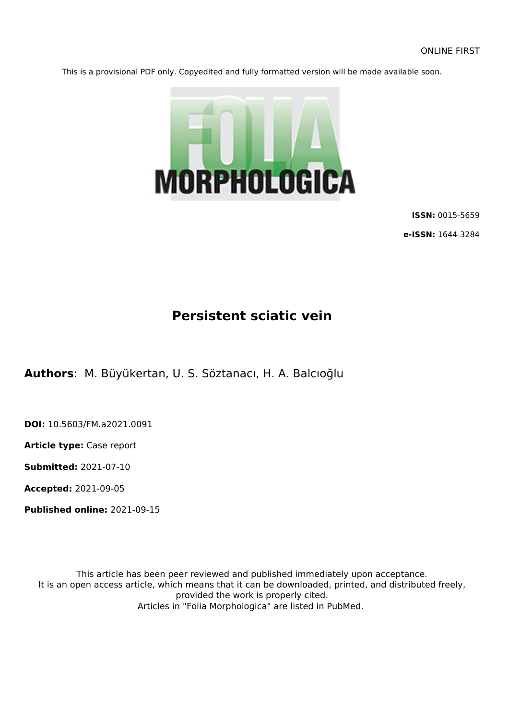This is a provisional PDF only. Copyedited and fully formatted version will be made available soon.



**ISSN:** 0015-5659

**e-ISSN:** 1644-3284

# **Persistent sciatic vein**

**Authors**: M. Büyükertan, U. S. Söztanacı, H. A. Balcıoğlu

**DOI:** 10.5603/FM.a2021.0091

**Article type:** Case report

**Submitted:** 2021-07-10

**Accepted:** 2021-09-05

**Published online:** 2021-09-15

This article has been peer reviewed and published immediately upon acceptance. It is an open access article, which means that it can be downloaded, printed, and distributed freely, provided the work is properly cited. Articles in "Folia Morphologica" are listed in PubMed.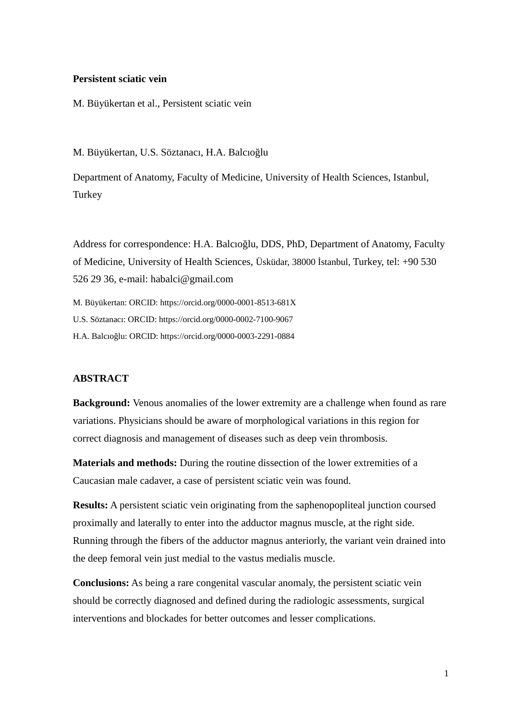### **Persistent sciatic vein**

M. Büyükertan et al., Persistent sciatic vein

M. Büyükertan, U.S. Söztanacı, H.A. Balcıoğlu

Department of Anatomy, Faculty of Medicine, University of Health Sciences, Istanbul, **Turkey** 

Address for correspondence: H.A. Balcıoğlu, DDS, PhD, Department of Anatomy, Faculty of Medicine, University of Health Sciences, Üsküdar, 38000 İstanbul, Turkey, tel: +90 530 526 29 36, e-mail: habalci@gmail.com

M. Büyükertan: ORCID: https://orcid.org/0000-0001-8513-681X

U.S. Söztanacı: ORCID: https://orcid.org/0000-0002-7100-9067

H.A. Balcıoğlu: ORCID: https://orcid.org/0000-0003-2291-0884

# **ABSTRACT**

**Background:** Venous anomalies of the lower extremity are a challenge when found as rare variations. Physicians should be aware of morphological variations in this region for correct diagnosis and management of diseases such as deep vein thrombosis.

**Materials and methods:** During the routine dissection of the lower extremities of a Caucasian male cadaver, a case of persistent sciatic vein was found.

**Results:** A persistent sciatic vein originating from the saphenopopliteal junction coursed proximally and laterally to enter into the adductor magnus muscle, at the right side. Running through the fibers of the adductor magnus anteriorly, the variant vein drained into the deep femoral vein just medial to the vastus medialis muscle.

**Conclusions:** As being a rare congenital vascular anomaly, the persistent sciatic vein should be correctly diagnosed and defined during the radiologic assessments, surgical interventions and blockades for better outcomes and lesser complications.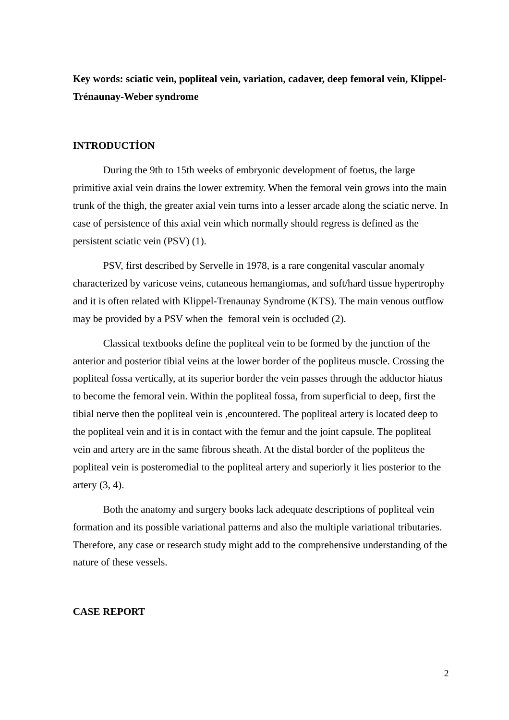**Key words: sciatic vein, popliteal vein, variation, cadaver, deep femoral vein, Klippel-Trénaunay-Weber syndrome**

# **INTRODUCTİON**

During the 9th to 15th weeks of embryonic development of foetus, the large primitive axial vein drains the lower extremity. When the femoral vein grows into the main trunk of the thigh, the greater axial vein turns into a lesser arcade along the sciatic nerve. In case of persistence of this axial vein which normally should regress is defined as the persistent sciatic vein (PSV) (1).

PSV, first described by Servelle in 1978, is a rare congenital vascular anomaly characterized by varicose veins, cutaneous hemangiomas, and soft/hard tissue hypertrophy and it is often related with Klippel-Trenaunay Syndrome (KTS). The main venous outflow may be provided by a PSV when the femoral vein is occluded (2).

Classical textbooks define the popliteal vein to be formed by the junction of the anterior and posterior tibial veins at the lower border of the popliteus muscle. Crossing the popliteal fossa vertically, at its superior border the vein passes through the adductor hiatus to become the femoral vein. Within the popliteal fossa, from superficial to deep, first the tibial nerve then the popliteal vein is ,encountered. The popliteal artery is located deep to the popliteal vein and it is in contact with the femur and the joint capsule. The popliteal vein and artery are in the same fibrous sheath. At the distal border of the popliteus the popliteal vein is posteromedial to the popliteal artery and superiorly it lies posterior to the artery (3, 4).

Both the anatomy and surgery books lack adequate descriptions of popliteal vein formation and its possible variational patterns and also the multiple variational tributaries. Therefore, any case or research study might add to the comprehensive understanding of the nature of these vessels.

### **CASE REPORT**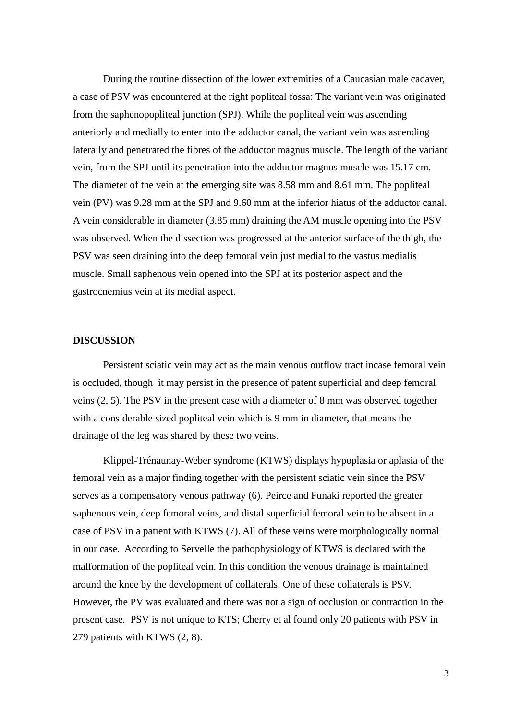During the routine dissection of the lower extremities of a Caucasian male cadaver, a case of PSV was encountered at the right popliteal fossa: The variant vein was originated from the saphenopopliteal junction (SPJ). While the popliteal vein was ascending anteriorly and medially to enter into the adductor canal, the variant vein was ascending laterally and penetrated the fibres of the adductor magnus muscle. The length of the variant vein, from the SPJ until its penetration into the adductor magnus muscle was 15.17 cm. The diameter of the vein at the emerging site was 8.58 mm and 8.61 mm. The popliteal vein (PV) was 9.28 mm at the SPJ and 9.60 mm at the inferior hiatus of the adductor canal. A vein considerable in diameter (3.85 mm) draining the AM muscle opening into the PSV was observed. When the dissection was progressed at the anterior surface of the thigh, the PSV was seen draining into the deep femoral vein just medial to the vastus medialis muscle. Small saphenous vein opened into the SPJ at its posterior aspect and the gastrocnemius vein at its medial aspect.

#### **DISCUSSION**

Persistent sciatic vein may act as the main venous outflow tract incase femoral vein is occluded, though it may persist in the presence of patent superficial and deep femoral veins (2, 5). The PSV in the present case with a diameter of 8 mm was observed together with a considerable sized popliteal vein which is 9 mm in diameter, that means the drainage of the leg was shared by these two veins.

Klippel-Trénaunay-Weber syndrome (KTWS) displays hypoplasia or aplasia of the femoral vein as a major finding together with the persistent sciatic vein since the PSV serves as a compensatory venous pathway (6). Peirce and Funaki reported the greater saphenous vein, deep femoral veins, and distal superficial femoral vein to be absent in a case of PSV in a patient with KTWS (7). All of these veins were morphologically normal in our case. According to Servelle the pathophysiology of KTWS is declared with the malformation of the popliteal vein. In this condition the venous drainage is maintained around the knee by the development of collaterals. One of these collaterals is PSV. However, the PV was evaluated and there was not a sign of occlusion or contraction in the present case. PSV is not unique to KTS; Cherry et al found only 20 patients with PSV in 279 patients with KTWS (2, 8).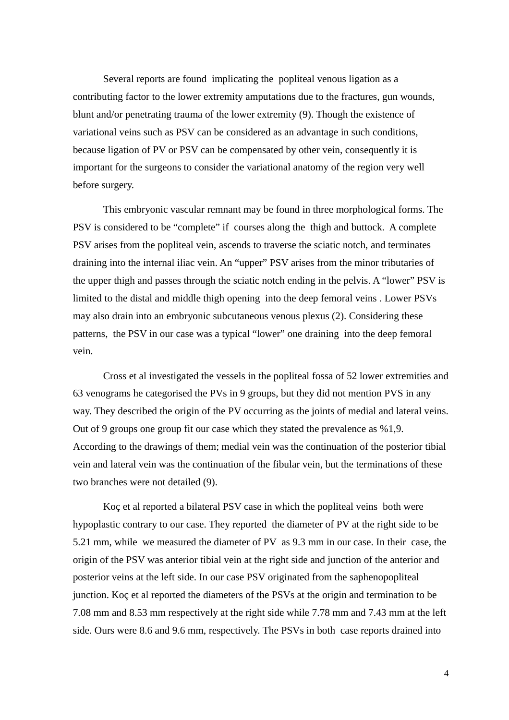Several reports are found implicating the popliteal venous ligation as a contributing factor to the lower extremity amputations due to the fractures, gun wounds, blunt and/or penetrating trauma of the lower extremity (9). Though the existence of variational veins such as PSV can be considered as an advantage in such conditions, because ligation of PV or PSV can be compensated by other vein, consequently it is important for the surgeons to consider the variational anatomy of the region very well before surgery.

This embryonic vascular remnant may be found in three morphological forms. The PSV is considered to be "complete" if courses along the thigh and buttock. A complete PSV arises from the popliteal vein, ascends to traverse the sciatic notch, and terminates draining into the internal iliac vein. An "upper" PSV arises from the minor tributaries of the upper thigh and passes through the sciatic notch ending in the pelvis. A "lower" PSV is limited to the distal and middle thigh opening into the deep femoral veins . Lower PSVs may also drain into an embryonic subcutaneous venous plexus (2). Considering these patterns, the PSV in our case was a typical "lower" one draining into the deep femoral vein.

Cross et al investigated the vessels in the popliteal fossa of 52 lower extremities and 63 venograms he categorised the PVs in 9 groups, but they did not mention PVS in any way. They described the origin of the PV occurring as the joints of medial and lateral veins. Out of 9 groups one group fit our case which they stated the prevalence as %1,9. According to the drawings of them; medial vein was the continuation of the posterior tibial vein and lateral vein was the continuation of the fibular vein, but the terminations of these two branches were not detailed (9).

Koç et al reported a bilateral PSV case in which the popliteal veins both were hypoplastic contrary to our case. They reported the diameter of PV at the right side to be 5.21 mm, while we measured the diameter of PV as 9.3 mm in our case. In their case, the origin of the PSV was anterior tibial vein at the right side and junction of the anterior and posterior veins at the left side. In our case PSV originated from the saphenopopliteal junction. Koç et al reported the diameters of the PSVs at the origin and termination to be 7.08 mm and 8.53 mm respectively at the right side while 7.78 mm and 7.43 mm at the left side. Ours were 8.6 and 9.6 mm, respectively. The PSVs in both case reports drained into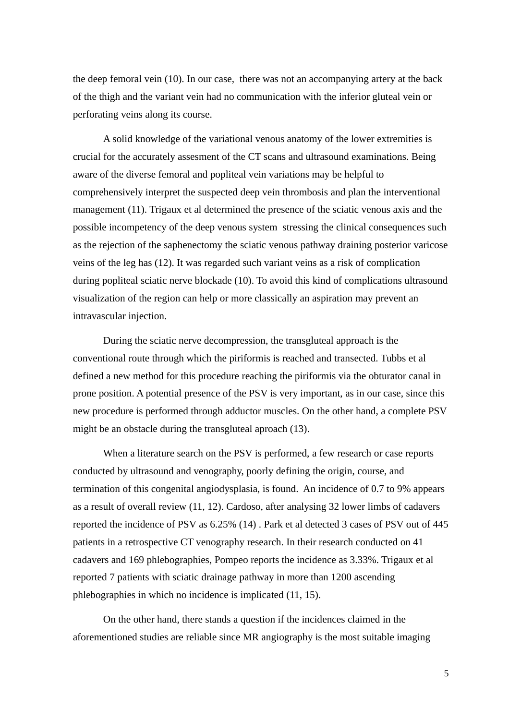the deep femoral vein (10). In our case, there was not an accompanying artery at the back of the thigh and the variant vein had no communication with the inferior gluteal vein or perforating veins along its course.

A solid knowledge of the variational venous anatomy of the lower extremities is crucial for the accurately assesment of the CT scans and ultrasound examinations. Being aware of the diverse femoral and popliteal vein variations may be helpful to comprehensively interpret the suspected deep vein thrombosis and plan the interventional management (11). Trigaux et al determined the presence of the sciatic venous axis and the possible incompetency of the deep venous system stressing the clinical consequences such as the rejection of the saphenectomy the sciatic venous pathway draining posterior varicose veins of the leg has (12). It was regarded such variant veins as a risk of complication during popliteal sciatic nerve blockade (10). To avoid this kind of complications ultrasound visualization of the region can help or more classically an aspiration may prevent an intravascular injection.

During the sciatic nerve decompression, the transgluteal approach is the conventional route through which the piriformis is reached and transected. Tubbs et al defined a new method for this procedure reaching the piriformis via the obturator canal in prone position. A potential presence of the PSV is very important, as in our case, since this new procedure is performed through adductor muscles. On the other hand, a complete PSV might be an obstacle during the transgluteal aproach (13).

When a literature search on the PSV is performed, a few research or case reports conducted by ultrasound and venography, poorly defining the origin, course, and termination of this congenital angiodysplasia, is found. An incidence of 0.7 to 9% appears as a result of overall review (11, 12). Cardoso, after analysing 32 lower limbs of cadavers reported the incidence of PSV as 6.25% (14) . Park et al detected 3 cases of PSV out of 445 patients in a retrospective CT venography research. In their research conducted on 41 cadavers and 169 phlebographies, Pompeo reports the incidence as 3.33%. Trigaux et al reported 7 patients with sciatic drainage pathway in more than 1200 ascending phlebographies in which no incidence is implicated (11, 15).

On the other hand, there stands a question if the incidences claimed in the aforementioned studies are reliable since MR angiography is the most suitable imaging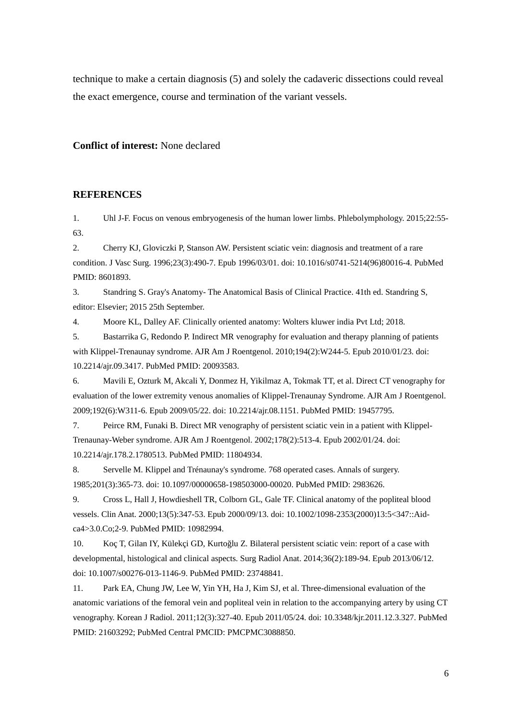technique to make a certain diagnosis (5) and solely the cadaveric dissections could reveal the exact emergence, course and termination of the variant vessels.

**Conflict of interest:** None declared

## **REFERENCES**

1. Uhl J-F. Focus on venous embryogenesis of the human lower limbs. Phlebolymphology. 2015;22:55- 63.

2. Cherry KJ, Gloviczki P, Stanson AW. Persistent sciatic vein: diagnosis and treatment of a rare condition. J Vasc Surg. 1996;23(3):490-7. Epub 1996/03/01. doi: 10.1016/s0741-5214(96)80016-4. PubMed PMID: 8601893.

3. Standring S. Gray's Anatomy- The Anatomical Basis of Clinical Practice. 41th ed. Standring S, editor: Elsevier; 2015 25th September.

4. Moore KL, Dalley AF. Clinically oriented anatomy: Wolters kluwer india Pvt Ltd; 2018.

5. Bastarrika G, Redondo P. Indirect MR venography for evaluation and therapy planning of patients with Klippel-Trenaunay syndrome. AJR Am J Roentgenol. 2010;194(2):W244-5. Epub 2010/01/23. doi: 10.2214/ajr.09.3417. PubMed PMID: 20093583.

6. Mavili E, Ozturk M, Akcali Y, Donmez H, Yikilmaz A, Tokmak TT, et al. Direct CT venography for evaluation of the lower extremity venous anomalies of Klippel-Trenaunay Syndrome. AJR Am J Roentgenol. 2009;192(6):W311-6. Epub 2009/05/22. doi: 10.2214/ajr.08.1151. PubMed PMID: 19457795.

7. Peirce RM, Funaki B. Direct MR venography of persistent sciatic vein in a patient with Klippel-Trenaunay-Weber syndrome. AJR Am J Roentgenol. 2002;178(2):513-4. Epub 2002/01/24. doi: 10.2214/ajr.178.2.1780513. PubMed PMID: 11804934.

8. Servelle M. Klippel and Trénaunay's syndrome. 768 operated cases. Annals of surgery. 1985;201(3):365-73. doi: 10.1097/00000658-198503000-00020. PubMed PMID: 2983626.

9. Cross L, Hall J, Howdieshell TR, Colborn GL, Gale TF. Clinical anatomy of the popliteal blood vessels. Clin Anat. 2000;13(5):347-53. Epub 2000/09/13. doi: 10.1002/1098-2353(2000)13:5<347::Aidca4>3.0.Co;2-9. PubMed PMID: 10982994.

10. Koç T, Gilan IY, Külekçi GD, Kurtoğlu Z. Bilateral persistent sciatic vein: report of a case with developmental, histological and clinical aspects. Surg Radiol Anat. 2014;36(2):189-94. Epub 2013/06/12. doi: 10.1007/s00276-013-1146-9. PubMed PMID: 23748841.

11. Park EA, Chung JW, Lee W, Yin YH, Ha J, Kim SJ, et al. Three-dimensional evaluation of the anatomic variations of the femoral vein and popliteal vein in relation to the accompanying artery by using CT venography. Korean J Radiol. 2011;12(3):327-40. Epub 2011/05/24. doi: 10.3348/kjr.2011.12.3.327. PubMed PMID: 21603292; PubMed Central PMCID: PMCPMC3088850.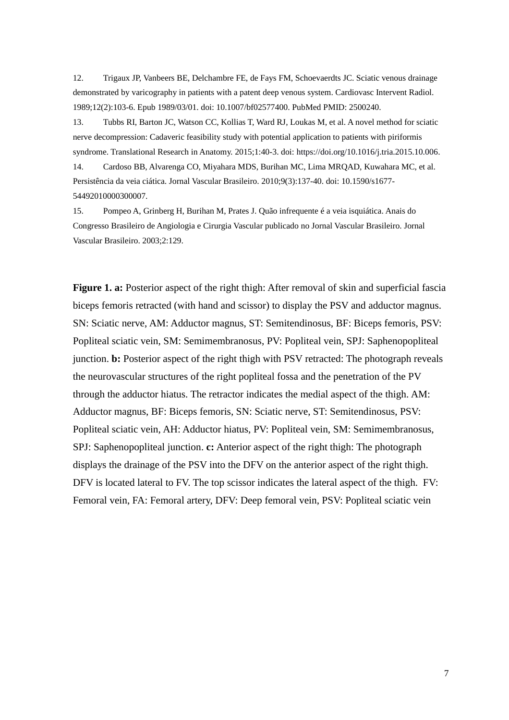12. Trigaux JP, Vanbeers BE, Delchambre FE, de Fays FM, Schoevaerdts JC. Sciatic venous drainage demonstrated by varicography in patients with a patent deep venous system. Cardiovasc Intervent Radiol. 1989;12(2):103-6. Epub 1989/03/01. doi: 10.1007/bf02577400. PubMed PMID: 2500240.

13. Tubbs RI, Barton JC, Watson CC, Kollias T, Ward RJ, Loukas M, et al. A novel method for sciatic nerve decompression: Cadaveric feasibility study with potential application to patients with piriformis syndrome. Translational Research in Anatomy. 2015;1:40-3. doi: https://doi.org/10.1016/j.tria.2015.10.006. 14. Cardoso BB, Alvarenga CO, Miyahara MDS, Burihan MC, Lima MRQAD, Kuwahara MC, et al. Persistência da veia ciática. Jornal Vascular Brasileiro. 2010;9(3):137-40. doi: 10.1590/s1677- 54492010000300007.

15. Pompeo A, Grinberg H, Burihan M, Prates J. Quão infrequente é a veia isquiática. Anais do Congresso Brasileiro de Angiologia e Cirurgia Vascular publicado no Jornal Vascular Brasileiro. Jornal Vascular Brasileiro. 2003;2:129.

**Figure 1. a:** Posterior aspect of the right thigh: After removal of skin and superficial fascia biceps femoris retracted (with hand and scissor) to display the PSV and adductor magnus. SN: Sciatic nerve, AM: Adductor magnus, ST: Semitendinosus, BF: Biceps femoris, PSV: Popliteal sciatic vein, SM: Semimembranosus, PV: Popliteal vein, SPJ: Saphenopopliteal junction. **b:** Posterior aspect of the right thigh with PSV retracted: The photograph reveals the neurovascular structures of the right popliteal fossa and the penetration of the PV through the adductor hiatus. The retractor indicates the medial aspect of the thigh. AM: Adductor magnus, BF: Biceps femoris, SN: Sciatic nerve, ST: Semitendinosus, PSV: Popliteal sciatic vein, AH: Adductor hiatus, PV: Popliteal vein, SM: Semimembranosus, SPJ: Saphenopopliteal junction. **c:** Anterior aspect of the right thigh: The photograph displays the drainage of the PSV into the DFV on the anterior aspect of the right thigh. DFV is located lateral to FV. The top scissor indicates the lateral aspect of the thigh. FV: Femoral vein, FA: Femoral artery, DFV: Deep femoral vein, PSV: Popliteal sciatic vein